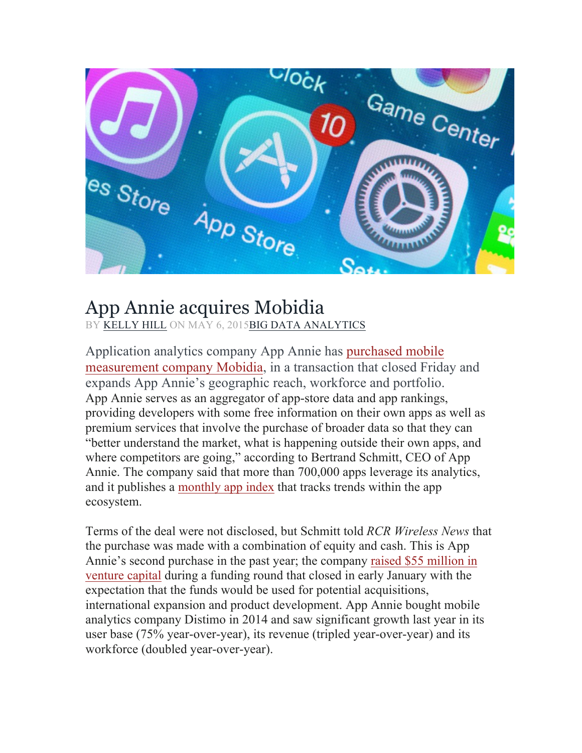

## App Annie acquires Mobidia

BY KELLY HILL ON MAY 6, 2015BIG DATA ANALYTICS

Application analytics company App Annie has purchased mobile measurement company Mobidia, in a transaction that closed Friday and expands App Annie's geographic reach, workforce and portfolio. App Annie serves as an aggregator of app-store data and app rankings, providing developers with some free information on their own apps as well as premium services that involve the purchase of broader data so that they can "better understand the market, what is happening outside their own apps, and where competitors are going," according to Bertrand Schmitt, CEO of App Annie. The company said that more than 700,000 apps leverage its analytics, and it publishes a monthly app index that tracks trends within the app ecosystem.

Terms of the deal were not disclosed, but Schmitt told *RCR Wireless News* that the purchase was made with a combination of equity and cash. This is App Annie's second purchase in the past year; the company raised \$55 million in venture capital during a funding round that closed in early January with the expectation that the funds would be used for potential acquisitions, international expansion and product development. App Annie bought mobile analytics company Distimo in 2014 and saw significant growth last year in its user base (75% year-over-year), its revenue (tripled year-over-year) and its workforce (doubled year-over-year).